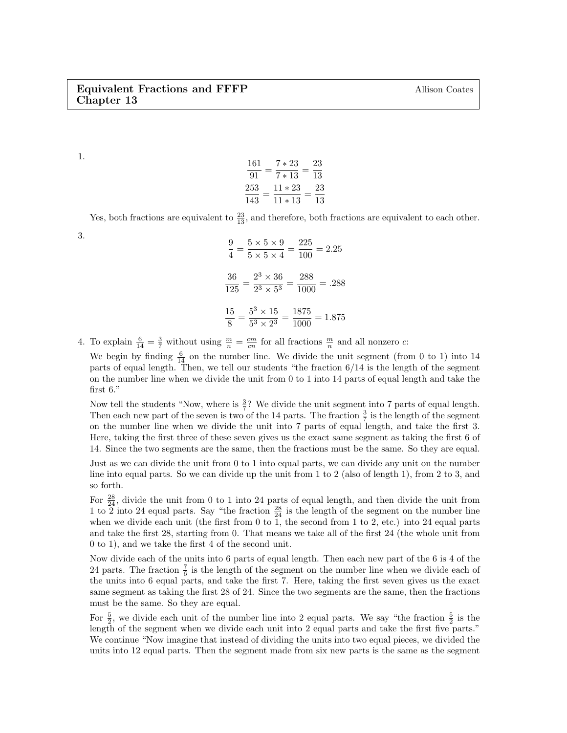1.

$$
\frac{161}{91} = \frac{7*23}{7*13} = \frac{23}{13}
$$

$$
\frac{253}{143} = \frac{11*23}{11*13} = \frac{23}{13}
$$

Yes, both fractions are equivalent to  $\frac{23}{13}$ , and therefore, both fractions are equivalent to each other.

3.

$$
\frac{9}{4} = \frac{5 \times 5 \times 9}{5 \times 5 \times 4} = \frac{225}{100} = 2.25
$$

$$
\frac{36}{125} = \frac{2^3 \times 36}{2^3 \times 5^3} = \frac{288}{1000} = .288
$$

$$
\frac{15}{8} = \frac{5^3 \times 15}{5^3 \times 2^3} = \frac{1875}{1000} = 1.875
$$

4. To explain  $\frac{6}{14} = \frac{3}{7}$  without using  $\frac{m}{n} = \frac{cm}{cn}$  for all fractions  $\frac{m}{n}$  and all nonzero c:

We begin by finding  $\frac{6}{14}$  on the number line. We divide the unit segment (from 0 to 1) into 14 parts of equal length. Then, we tell our students "the fraction 6/14 is the length of the segment on the number line when we divide the unit from 0 to 1 into 14 parts of equal length and take the first 6."

Now tell the students "Now, where is  $\frac{3}{7}$ ? We divide the unit segment into 7 parts of equal length. Then each new part of the seven is two of the 14 parts. The fraction  $\frac{3}{7}$  is the length of the segment on the number line when we divide the unit into 7 parts of equal length, and take the first 3. Here, taking the first three of these seven gives us the exact same segment as taking the first 6 of 14. Since the two segments are the same, then the fractions must be the same. So they are equal.

Just as we can divide the unit from 0 to 1 into equal parts, we can divide any unit on the number line into equal parts. So we can divide up the unit from 1 to 2 (also of length 1), from 2 to 3, and so forth.

For  $\frac{28}{24}$ , divide the unit from 0 to 1 into 24 parts of equal length, and then divide the unit from 1 to 2 into 24 equal parts. Say "the fraction  $\frac{28}{24}$  is the length of the segment on the number line when we divide each unit (the first from 0 to 1, the second from 1 to 2, etc.) into 24 equal parts and take the first 28, starting from 0. That means we take all of the first 24 (the whole unit from 0 to 1), and we take the first 4 of the second unit.

Now divide each of the units into 6 parts of equal length. Then each new part of the 6 is 4 of the 24 parts. The fraction  $\frac{7}{6}$  is the length of the segment on the number line when we divide each of the units into 6 equal parts, and take the first 7. Here, taking the first seven gives us the exact same segment as taking the first 28 of 24. Since the two segments are the same, then the fractions must be the same. So they are equal.

For  $\frac{5}{2}$ , we divide each unit of the number line into 2 equal parts. We say "the fraction  $\frac{5}{2}$  is the length of the segment when we divide each unit into 2 equal parts and take the first five parts." We continue "Now imagine that instead of dividing the units into two equal pieces, we divided the units into 12 equal parts. Then the segment made from six new parts is the same as the segment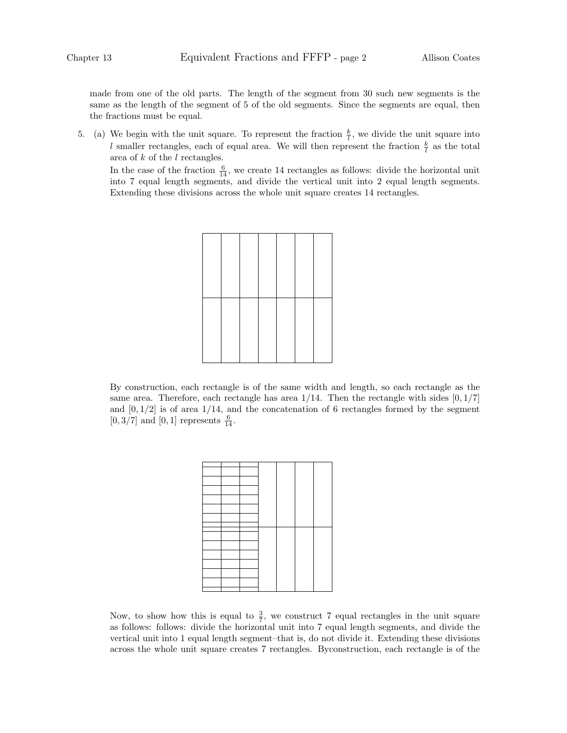made from one of the old parts. The length of the segment from 30 such new segments is the same as the length of the segment of 5 of the old segments. Since the segments are equal, then the fractions must be equal.

5. (a) We begin with the unit square. To represent the fraction  $\frac{k}{l}$ , we divide the unit square into l smaller rectangles, each of equal area. We will then represent the fraction  $\frac{k}{l}$  as the total area of  $k$  of the  $l$  rectangles.

In the case of the fraction  $\frac{6}{14}$ , we create 14 rectangles as follows: divide the horizontal unit into 7 equal length segments, and divide the vertical unit into 2 equal length segments. Extending these divisions across the whole unit square creates 14 rectangles.

By construction, each rectangle is of the same width and length, so each rectangle as the same area. Therefore, each rectangle has area  $1/14$ . Then the rectangle with sides  $[0, 1/7]$ and  $[0, 1/2]$  is of area 1/14, and the concatenation of 6 rectangles formed by the segment  $[0, 3/7]$  and  $[0, 1]$  represents  $\frac{6}{14}$ .



Now, to show how this is equal to  $\frac{3}{7}$ , we construct 7 equal rectangles in the unit square as follows: follows: divide the horizontal unit into 7 equal length segments, and divide the vertical unit into 1 equal length segment–that is, do not divide it. Extending these divisions across the whole unit square creates 7 rectangles. Byconstruction, each rectangle is of the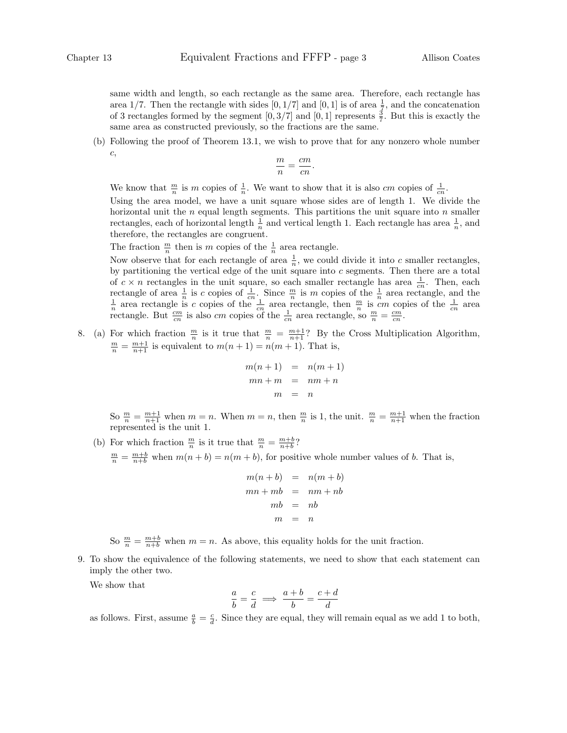same width and length, so each rectangle as the same area. Therefore, each rectangle has area 1/7. Then the rectangle with sides  $[0, 1/7]$  and  $[0, 1]$  is of area  $\frac{1}{7}$ , and the concatenation of 3 rectangles formed by the segment  $[0, 3/7]$  and  $[0, 1]$  represents  $\frac{3}{7}$ . But this is exactly the same area as constructed previously, so the fractions are the same.

(b) Following the proof of Theorem 13.1, we wish to prove that for any nonzero whole number c,

$$
\frac{m}{n} = \frac{cm}{cn}.
$$

We know that  $\frac{m}{n}$  is m copies of  $\frac{1}{n}$ . We want to show that it is also cm copies of  $\frac{1}{cn}$ .

Using the area model, we have a unit square whose sides are of length 1. We divide the horizontal unit the  $n$  equal length segments. This partitions the unit square into  $n$  smaller rectangles, each of horizontal length  $\frac{1}{n}$  and vertical length 1. Each rectangle has area  $\frac{1}{n}$ , and therefore, the rectangles are congruent.

The fraction  $\frac{m}{n}$  then is m copies of the  $\frac{1}{n}$  area rectangle.

Now observe that for each rectangle of area  $\frac{1}{n}$ , we could divide it into c smaller rectangles, by partitioning the vertical edge of the unit square into  $c$  segments. Then there are a total of  $c \times n$  rectangles in the unit square, so each smaller rectangle has area  $\frac{1}{cn}$ . Then, each rectangle of area  $\frac{1}{n}$  is c copies of  $\frac{1}{cn}$ . Since  $\frac{m}{n}$  is m copies of the  $\frac{1}{n}$  area rectangle, and the  $\frac{1}{n}$  area rectangle is c copies of the  $\frac{1}{cn}$  area rectangle, then  $\frac{m}{n}$  is cm copies rectangle. But  $\frac{cm}{cn}$  is also cm copies of the  $\frac{1}{cn}$  area rectangle, so  $\frac{m}{n} = \frac{cm}{cn}$ .

8. (a) For which fraction  $\frac{m}{n}$  is it true that  $\frac{m}{n} = \frac{m+1}{n+1}$ ? By the Cross Multiplication Algorithm,  $\frac{m}{n} = \frac{m+1}{n+1}$  is equivalent to  $m(n+1) = n(m+1)$ . That is,

$$
m(n+1) = n(m+1)
$$
  

$$
mn + m = nm + n
$$
  

$$
m = n
$$

So  $\frac{m}{n} = \frac{m+1}{n+1}$  when  $m = n$ . When  $m = n$ , then  $\frac{m}{n}$  is 1, the unit.  $\frac{m}{n} = \frac{m+1}{n+1}$  when the fraction represented is the unit 1.

(b) For which fraction  $\frac{m}{n}$  is it true that  $\frac{m}{n} = \frac{m+b}{n+b}$ ?  $\frac{m}{n} = \frac{m+b}{n+b}$  when  $m(n+b) = n(m+b)$ , for positive whole number values of b. That is,

$$
m(n + b) = n(m + b)
$$
  
\n
$$
mn + mb = nm + nb
$$
  
\n
$$
mb = nb
$$
  
\n
$$
m = n
$$

So  $\frac{m}{n} = \frac{m+b}{n+b}$  when  $m = n$ . As above, this equality holds for the unit fraction.

9. To show the equivalence of the following statements, we need to show that each statement can imply the other two.

We show that

$$
\frac{a}{b} = \frac{c}{d} \implies \frac{a+b}{b} = \frac{c+d}{d}
$$

as follows. First, assume  $\frac{a}{b} = \frac{c}{d}$ . Since they are equal, they will remain equal as we add 1 to both,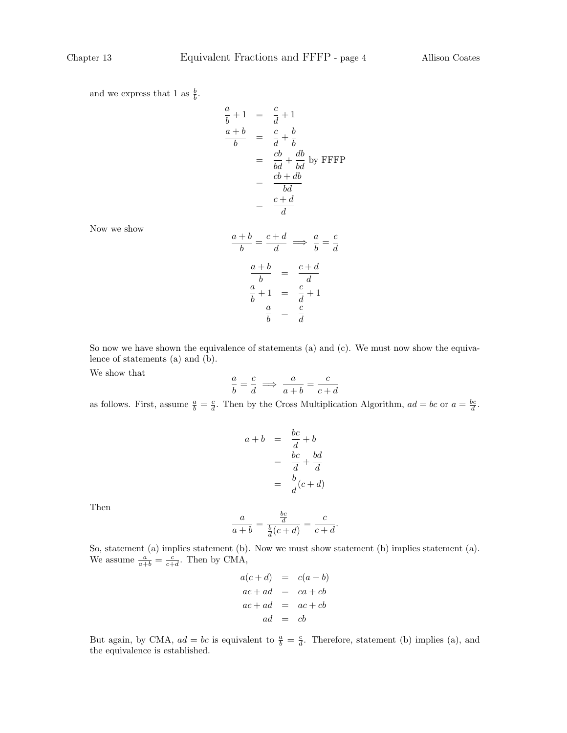and we express that 1 as  $\frac{b}{b}$ .

$$
\frac{a}{b} + 1 = \frac{c}{d} + 1
$$
\n
$$
\frac{a+b}{b} = \frac{c}{d} + \frac{b}{b}
$$
\n
$$
= \frac{cb}{bd} + \frac{db}{bd} \text{ by FFFF}
$$
\n
$$
= \frac{cb + db}{bd}
$$
\n
$$
= \frac{c+b}{d}
$$

 $\frac{d}{d} \Rightarrow \frac{a}{b}$ 

d

 $\frac{c}{d}+1$ 

 $\frac{+b}{b} = \frac{c+d}{d}$ 

 $\frac{a}{b}+1 = \frac{c}{d}$ 

a  $\frac{a}{b} = \frac{c}{d}$ d  $\frac{a}{b} = \frac{c}{d}$ d

 $a + b$ 

 $\frac{b}{b} = \frac{c + d}{d}$ 

 $a + b$ 

a

Now we show

So now we have shown the equivalence of statements (a) and (c). We must now show the equivalence of statements (a) and (b).

We show that

$$
\frac{a}{b} = \frac{c}{d} \implies \frac{a}{a+b} = \frac{c}{c+d}
$$

as follows. First, assume  $\frac{a}{b} = \frac{c}{d}$ . Then by the Cross Multiplication Algorithm,  $ad = bc$  or  $a = \frac{bc}{d}$ .

$$
a + b = \frac{bc}{d} + b
$$
  

$$
= \frac{bc}{d} + \frac{bd}{d}
$$
  

$$
= \frac{b}{d}(c + d)
$$

Then

$$
\frac{a}{a+b} = \frac{\frac{bc}{d}}{\frac{b}{d}(c+d)} = \frac{c}{c+d}.
$$

So, statement (a) implies statement (b). Now we must show statement (b) implies statement (a). We assume  $\frac{a}{a+b} = \frac{c}{c+d}$ . Then by CMA,

$$
a(c+d) = c(a+b)
$$
  
\n
$$
ac+ad = ca+cb
$$
  
\n
$$
ac+ad = ac+cb
$$
  
\n
$$
ad = cb
$$

But again, by CMA,  $ad = bc$  is equivalent to  $\frac{a}{b} = \frac{c}{d}$ . Therefore, statement (b) implies (a), and the equivalence is established.